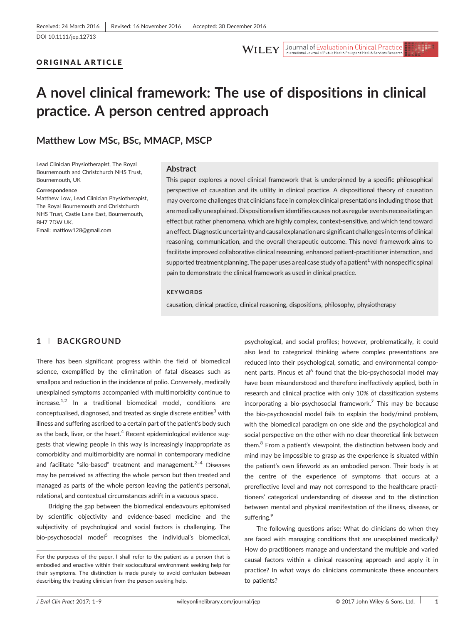**WILEY** Journal of Evaluation in Clinical Practice

#### ORIGINAL ARTICLE

# A novel clinical framework: The use of dispositions in clinical practice. A person centred approach

# Matthew Low MSc, BSc, MMACP, MSCP

Lead Clinician Physiotherapist, The Royal Bournemouth and Christchurch NHS Trust, Bournemouth, UK

#### Correspondence

Matthew Low, Lead Clinician Physiotherapist, The Royal Bournemouth and Christchurch NHS Trust, Castle Lane East, Bournemouth, BH7 7DW UK. Email: [mattlow128@gmail.com](mailto:mattlow128@gmail.com)

#### Abstract

This paper explores a novel clinical framework that is underpinned by a specific philosophical perspective of causation and its utility in clinical practice. A dispositional theory of causation may overcome challenges that clinicians face in complex clinical presentations including those that are medically unexplained. Dispositionalism identifies causes not as regular events necessitating an effect but rather phenomena, which are highly complex, context-sensitive, and which tend toward an effect. Diagnostic uncertainty and causal explanation are significant challenges in terms of clinical reasoning, communication, and the overall therapeutic outcome. This novel framework aims to facilitate improved collaborative clinical reasoning, enhanced patient‐practitioner interaction, and supported treatment planning. The paper uses a real case study of a patient<sup>1</sup> with nonspecific spinal pain to demonstrate the clinical framework as used in clinical practice.

#### **KEYWORDS**

causation, clinical practice, clinical reasoning, dispositions, philosophy, physiotherapy

#### 1 | BACKGROUND

There has been significant progress within the field of biomedical science, exemplified by the elimination of fatal diseases such as smallpox and reduction in the incidence of polio. Conversely, medically unexplained symptoms accompanied with multimorbidity continue to  $i$ ncrease.<sup>1,2</sup> In a traditional biomedical model, conditions are conceptualised, diagnosed, and treated as single discrete entities<sup>3</sup> with illness and suffering ascribed to a certain part of the patient's body such as the back, liver, or the heart. $4$  Recent epidemiological evidence suggests that viewing people in this way is increasingly inappropriate as comorbidity and multimorbidity are normal in contemporary medicine and facilitate "silo-based" treatment and management. $2-4$  Diseases may be perceived as affecting the whole person but then treated and managed as parts of the whole person leaving the patient's personal, relational, and contextual circumstances adrift in a vacuous space.

Bridging the gap between the biomedical endeavours epitomised by scientific objectivity and evidence‐based medicine and the subjectivity of psychological and social factors is challenging. The bio-psychosocial model<sup>5</sup> recognises the individual's biomedical,

psychological, and social profiles; however, problematically, it could also lead to categorical thinking where complex presentations are reduced into their psychological, somatic, and environmental component parts. Pincus et al<sup>6</sup> found that the bio-psychosocial model may have been misunderstood and therefore ineffectively applied, both in research and clinical practice with only 10% of classification systems incorporating a bio-psychosocial framework.<sup>7</sup> This may be because the bio‐psychosocial model fails to explain the body/mind problem, with the biomedical paradigm on one side and the psychological and social perspective on the other with no clear theoretical link between them.<sup>8</sup> From a patient's viewpoint, the distinction between body and mind may be impossible to grasp as the experience is situated within the patient's own lifeworld as an embodied person. Their body is at the centre of the experience of symptoms that occurs at a prereflective level and may not correspond to the healthcare practitioners' categorical understanding of disease and to the distinction between mental and physical manifestation of the illness, disease, or suffering.<sup>9</sup>

The following questions arise: What do clinicians do when they are faced with managing conditions that are unexplained medically? How do practitioners manage and understand the multiple and varied causal factors within a clinical reasoning approach and apply it in practice? In what ways do clinicians communicate these encounters to patients?

For the purposes of the paper, I shall refer to the patient as a person that is embodied and enactive within their sociocultural environment seeking help for their symptoms. The distinction is made purely to avoid confusion between describing the treating clinician from the person seeking help.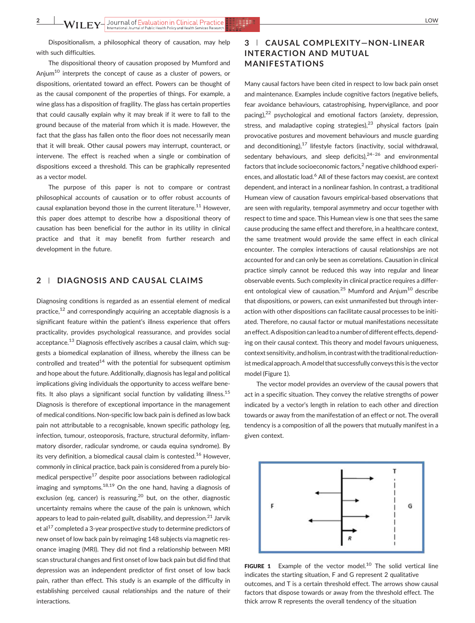Dispositionalism, a philosophical theory of causation, may help with such difficulties.

The dispositional theory of causation proposed by Mumford and Anjum<sup>10</sup> interprets the concept of cause as a cluster of powers, or dispositions, orientated toward an effect. Powers can be thought of as the causal component of the properties of things. For example, a wine glass has a disposition of fragility. The glass has certain properties that could causally explain why it may break if it were to fall to the ground because of the material from which it is made. However, the fact that the glass has fallen onto the floor does not necessarily mean that it will break. Other causal powers may interrupt, counteract, or intervene. The effect is reached when a single or combination of dispositions exceed a threshold. This can be graphically represented as a vector model.

The purpose of this paper is not to compare or contrast philosophical accounts of causation or to offer robust accounts of causal explanation beyond those in the current literature.<sup>11</sup> However, this paper does attempt to describe how a dispositional theory of causation has been beneficial for the author in its utility in clinical practice and that it may benefit from further research and development in the future.

# 2 | DIAGNOSIS AND CAUSAL CLAIMS

Diagnosing conditions is regarded as an essential element of medical practice, $12$  and correspondingly acquiring an acceptable diagnosis is a significant feature within the patient's illness experience that offers practicality, provides psychological reassurance, and provides social acceptance.<sup>13</sup> Diagnosis effectively ascribes a causal claim, which suggests a biomedical explanation of illness, whereby the illness can be controlled and treated $^{14}$  with the potential for subsequent optimism and hope about the future. Additionally, diagnosis has legal and political implications giving individuals the opportunity to access welfare benefits. It also plays a significant social function by validating illness.<sup>15</sup> Diagnosis is therefore of exceptional importance in the management of medical conditions. Non‐specific low back pain is defined as low back pain not attributable to a recognisable, known specific pathology (eg, infection, tumour, osteoporosis, fracture, structural deformity, inflammatory disorder, radicular syndrome, or cauda equina syndrome). By its very definition, a biomedical causal claim is contested.<sup>16</sup> However, commonly in clinical practice, back pain is considered from a purely biomedical perspective $17$  despite poor associations between radiological imaging and symptoms.<sup>18,19</sup> On the one hand, having a diagnosis of exclusion (eg, cancer) is reassuring,  $20$  but, on the other, diagnostic uncertainty remains where the cause of the pain is unknown, which appears to lead to pain-related guilt, disability, and depression. $^{21}$  Jarvik et al $^{17}$  completed a 3-year prospective study to determine predictors of new onset of low back pain by reimaging 148 subjects via magnetic resonance imaging (MRI). They did not find a relationship between MRI scan structural changes and first onset of low back pain but did find that depression was an independent predictor of first onset of low back pain, rather than effect. This study is an example of the difficulty in establishing perceived causal relationships and the nature of their interactions.

# 3 <sup>|</sup> CAUSAL COMPLEXITY—NON‐LINEAR INTERACTION AND MUTUAL MANIFESTATIONS

Many causal factors have been cited in respect to low back pain onset and maintenance. Examples include cognitive factors (negative beliefs, fear avoidance behaviours, catastrophising, hypervigilance, and poor pacing),22 psychological and emotional factors (anxiety, depression, stress, and maladaptive coping strategies), $23$  physical factors (pain provocative postures and movement behaviours and muscle guarding and deconditioning), $^{17}$  lifestyle factors (inactivity, social withdrawal, sedentary behaviours, and sleep deficits), $24-26$  and environmental factors that include socioeconomic factors, $2$  negative childhood experiences, and allostatic load.<sup>6</sup> All of these factors may coexist, are context dependent, and interact in a nonlinear fashion. In contrast, a traditional Humean view of causation favours empirical-based observations that are seen with regularity, temporal asymmetry and occur together with respect to time and space. This Humean view is one that sees the same cause producing the same effect and therefore, in a healthcare context, the same treatment would provide the same effect in each clinical encounter. The complex interactions of causal relationships are not accounted for and can only be seen as correlations. Causation in clinical practice simply cannot be reduced this way into regular and linear observable events. Such complexity in clinical practice requires a different ontological view of causation.<sup>25</sup> Mumford and Anjum<sup>10</sup> describe that dispositions, or powers, can exist unmanifested but through interaction with other dispositions can facilitate causal processes to be initiated. Therefore, no causal factor or mutual manifestations necessitate an effect. A disposition can lead to a number of different effects, depending on their causal context. This theory and model favours uniqueness, context sensitivity, and holism, in contrast with the traditional reductionist medical approach. A model that successfully conveys this is the vector model (Figure 1).

The vector model provides an overview of the causal powers that act in a specific situation. They convey the relative strengths of power indicated by a vector's length in relation to each other and direction towards or away from the manifestation of an effect or not. The overall tendency is a composition of all the powers that mutually manifest in a given context.



FIGURE 1 Example of the vector model. $10$  The solid vertical line indicates the starting situation, F and G represent 2 qualitative outcomes, and T is a certain threshold effect. The arrows show causal factors that dispose towards or away from the threshold effect. The thick arrow R represents the overall tendency of the situation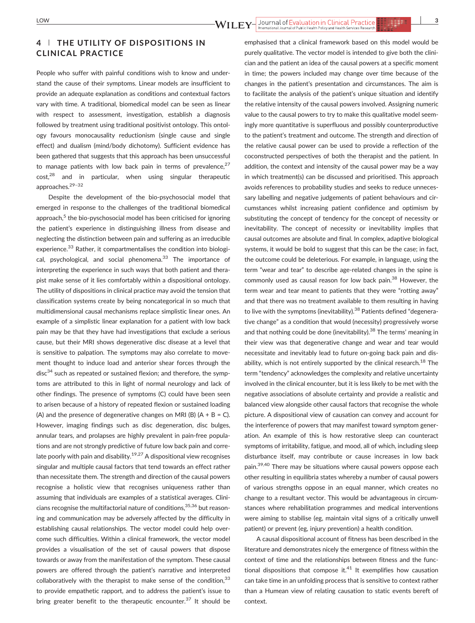### 4 | THE UTILITY OF DISPOSITIONS IN CLINICAL PRACTICE

People who suffer with painful conditions wish to know and understand the cause of their symptoms. Linear models are insufficient to provide an adequate explanation as conditions and contextual factors vary with time. A traditional, biomedical model can be seen as linear with respect to assessment, investigation, establish a diagnosis followed by treatment using traditional positivist ontology. This ontology favours monocausality reductionism (single cause and single effect) and dualism (mind/body dichotomy). Sufficient evidence has been gathered that suggests that this approach has been unsuccessful to manage patients with low back pain in terms of prevalence, $27$  $cost<sub>1</sub><sup>28</sup>$  and in particular, when using singular therapeutic approaches.29–<sup>32</sup>

Despite the development of the bio‐psychosocial model that emerged in response to the challenges of the traditional biomedical approach, $5$  the bio-pyschosocial model has been criticised for ignoring the patient's experience in distinguishing illness from disease and neglecting the distinction between pain and suffering as an irreducible experience.<sup>33</sup> Rather, it compartmentalises the condition into biological, psychological, and social phenomena.<sup>33</sup> The importance of interpreting the experience in such ways that both patient and therapist make sense of it lies comfortably within a dispositional ontology. The utility of dispositions in clinical practice may avoid the tension that classification systems create by being noncategorical in so much that multidimensional causal mechanisms replace simplistic linear ones. An example of a simplistic linear explanation for a patient with low back pain may be that they have had investigations that exclude a serious cause, but their MRI shows degenerative disc disease at a level that is sensitive to palpation. The symptoms may also correlate to movement thought to induce load and anterior shear forces through the  $disc<sup>34</sup>$  such as repeated or sustained flexion; and therefore, the symptoms are attributed to this in light of normal neurology and lack of other findings. The presence of symptoms (C) could have been seen to arisen because of a history of repeated flexion or sustained loading (A) and the presence of degenerative changes on MRI (B)  $(A + B = C)$ . However, imaging findings such as disc degeneration, disc bulges, annular tears, and prolapses are highly prevalent in pain‐free populations and are not strongly predictive of future low back pain and correlate poorly with pain and disability.<sup>19,27</sup> A dispositional view recognises singular and multiple causal factors that tend towards an effect rather than necessitate them. The strength and direction of the causal powers recognise a holistic view that recognises uniqueness rather than assuming that individuals are examples of a statistical averages. Clinicians recognise the multifactorial nature of conditions,<sup>35,36</sup> but reasoning and communication may be adversely affected by the difficulty in establishing causal relationships. The vector model could help overcome such difficulties. Within a clinical framework, the vector model provides a visualisation of the set of causal powers that dispose towards or away from the manifestation of the symptom. These causal powers are offered through the patient's narrative and interpreted collaboratively with the therapist to make sense of the condition,  $33$ to provide empathetic rapport, and to address the patient's issue to bring greater benefit to the therapeutic encounter.<sup>37</sup> It should be

emphasised that a clinical framework based on this model would be purely qualitative. The vector model is intended to give both the clinician and the patient an idea of the causal powers at a specific moment in time; the powers included may change over time because of the changes in the patient's presentation and circumstances. The aim is to facilitate the analysis of the patient's unique situation and identify the relative intensity of the causal powers involved. Assigning numeric value to the causal powers to try to make this qualitative model seemingly more quantitative is superfluous and possibly counterproductive to the patient's treatment and outcome. The strength and direction of the relative causal power can be used to provide a reflection of the coconstructed perspectives of both the therapist and the patient. In addition, the context and intensity of the causal power may be a way in which treatment(s) can be discussed and prioritised. This approach avoids references to probability studies and seeks to reduce unnecessary labelling and negative judgements of patient behaviours and circumstances whilst increasing patient confidence and optimism by substituting the concept of tendency for the concept of necessity or inevitability. The concept of necessity or inevitability implies that causal outcomes are absolute and final. In complex, adaptive biological systems, it would be bold to suggest that this can be the case; in fact, the outcome could be deleterious. For example, in language, using the term "wear and tear" to describe age‐related changes in the spine is commonly used as causal reason for low back pain.<sup>38</sup> However, the term wear and tear meant to patients that they were "rotting away" and that there was no treatment available to them resulting in having to live with the symptoms (inevitability).<sup>38</sup> Patients defined "degenerative change" as a condition that would (necessity) progressively worse and that nothing could be done (inevitability). $38$  The terms' meaning in their view was that degenerative change and wear and tear would necessitate and inevitably lead to future on‐going back pain and disability, which is not entirely supported by the clinical research. $^{18}$  The term "tendency" acknowledges the complexity and relative uncertainty involved in the clinical encounter, but it is less likely to be met with the negative associations of absolute certainty and provide a realistic and balanced view alongside other causal factors that recognise the whole picture. A dispositional view of causation can convey and account for the interference of powers that may manifest toward symptom generation. An example of this is how restorative sleep can counteract symptoms of irritability, fatigue, and mood, all of which, including sleep disturbance itself, may contribute or cause increases in low back pain.<sup>39,40</sup> There may be situations where causal powers oppose each other resulting in equilibria states whereby a number of causal powers of various strengths oppose in an equal manner, which creates no change to a resultant vector. This would be advantageous in circumstances where rehabilitation programmes and medical interventions were aiming to stabilise (eg, maintain vital signs of a critically unwell patient) or prevent (eg, injury prevention) a health condition.

A causal dispositional account of fitness has been described in the literature and demonstrates nicely the emergence of fitness within the context of time and the relationships between fitness and the functional dispositions that compose it. $41$  It exemplifies how causation can take time in an unfolding process that is sensitive to context rather than a Humean view of relating causation to static events bereft of context.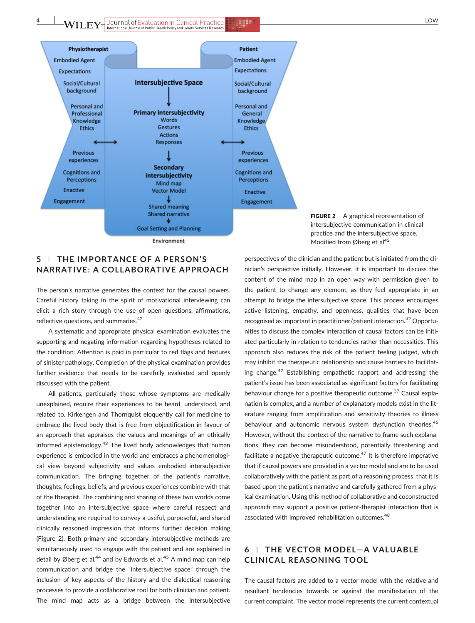4 WILEY-Journal of Evaluation in Clinical Practice



Environment

FIGURE 2 A graphical representation of intersubjective communication in clinical practice and the intersubjective space. Modified from Øberg et al<sup>43</sup>

#### 5 <sup>|</sup> THE IMPORTANCE OF A PERSON'S NARRATIVE: A COLLABORATIVE APPROACH

The person's narrative generates the context for the causal powers. Careful history taking in the spirit of motivational interviewing can elicit a rich story through the use of open questions, affirmations, reflective questions, and summaries.<sup>42</sup>

A systematic and appropriate physical examination evaluates the supporting and negating information regarding hypotheses related to the condition. Attention is paid in particular to red flags and features of sinister pathology. Completion of the physical examination provides further evidence that needs to be carefully evaluated and openly discussed with the patient.

All patients, particularly those whose symptoms are medically unexplained, require their experiences to be heard, understood, and related to. Kirkengen and Thornquist eloquently call for medicine to embrace the lived body that is free from objectification in favour of an approach that appraises the values and meanings of an ethically informed epistemology.<sup>43</sup> The lived body acknowledges that human experience is embodied in the world and embraces a phenomenological view beyond subjectivity and values embodied intersubjective communication. The bringing together of the patient's narrative, thoughts, feelings, beliefs, and previous experiences combine with that of the therapist. The combining and sharing of these two worlds come together into an intersubjective space where careful respect and understanding are required to convey a useful, purposeful, and shared clinically reasoned impression that informs further decision making (Figure 2). Both primary and secondary intersubjective methods are simultaneously used to engage with the patient and are explained in detail by Øberg et al.<sup>44</sup> and by Edwards et al.<sup>45</sup> A mind map can help communication and bridge the "intersubjective space" through the inclusion of key aspects of the history and the dialectical reasoning processes to provide a collaborative tool for both clinician and patient. The mind map acts as a bridge between the intersubjective

perspectives of the clinician and the patient but is initiated from the clinician's perspective initially. However, it is important to discuss the content of the mind map in an open way with permission given to the patient to change any element, as they feel appropriate in an attempt to bridge the intersubjective space. This process encourages active listening, empathy, and openness, qualities that have been recognised as important in practitioner/patient interaction.<sup>42</sup> Opportunities to discuss the complex interaction of causal factors can be initiated particularly in relation to tendencies rather than necessities. This approach also reduces the risk of the patient feeling judged, which may inhibit the therapeutic relationship and cause barriers to facilitating change.<sup>42</sup> Establishing empathetic rapport and addressing the patient's issue has been associated as significant factors for facilitating behaviour change for a positive therapeutic outcome.<sup>37</sup> Causal explanation is complex, and a number of explanatory models exist in the literature ranging from amplification and sensitivity theories to illness behaviour and autonomic nervous system dysfunction theories.<sup>46</sup> However, without the context of the narrative to frame such explanations, they can become misunderstood, potentially threatening and facilitate a negative therapeutic outcome. $47$  It is therefore imperative that if causal powers are provided in a vector model and are to be used collaboratively with the patient as part of a reasoning process, that it is based upon the patient's narrative and carefully gathered from a physical examination. Using this method of collaborative and coconstructed approach may support a positive patient-therapist interaction that is associated with improved rehabilitation outcomes.<sup>48</sup>

# 6 <sup>|</sup> THE VECTOR MODEL—A VALUABLE CLINICAL REASONING TOOL

The causal factors are added to a vector model with the relative and resultant tendencies towards or against the manifestation of the current complaint. The vector model represents the current contextual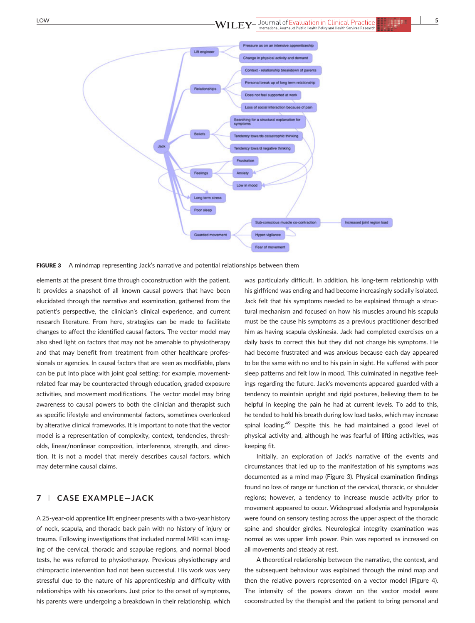

**FIGURE 3** A mindmap representing Jack's narrative and potential relationships between them

elements at the present time through coconstruction with the patient. It provides a snapshot of all known causal powers that have been elucidated through the narrative and examination, gathered from the patient's perspective, the clinician's clinical experience, and current research literature. From here, strategies can be made to facilitate changes to affect the identified causal factors. The vector model may also shed light on factors that may not be amenable to physiotherapy and that may benefit from treatment from other healthcare professionals or agencies. In causal factors that are seen as modifiable, plans can be put into place with joint goal setting; for example, movement‐ related fear may be counteracted through education, graded exposure activities, and movement modifications. The vector model may bring awareness to causal powers to both the clinician and therapist such as specific lifestyle and environmental factors, sometimes overlooked by alterative clinical frameworks. It is important to note that the vector model is a representation of complexity, context, tendencies, thresholds, linear/nonlinear composition, interference, strength, and direction. It is not a model that merely describes causal factors, which may determine causal claims.

## 7 <sup>|</sup> CASE EXAMPLE—JACK

A 25‐year‐old apprentice lift engineer presents with a two‐year history of neck, scapula, and thoracic back pain with no history of injury or trauma. Following investigations that included normal MRI scan imaging of the cervical, thoracic and scapulae regions, and normal blood tests, he was referred to physiotherapy. Previous physiotherapy and chiropractic intervention had not been successful. His work was very stressful due to the nature of his apprenticeship and difficulty with relationships with his coworkers. Just prior to the onset of symptoms, his parents were undergoing a breakdown in their relationship, which was particularly difficult. In addition, his long-term relationship with his girlfriend was ending and had become increasingly socially isolated. Jack felt that his symptoms needed to be explained through a structural mechanism and focused on how his muscles around his scapula must be the cause his symptoms as a previous practitioner described him as having scapula dyskinesia. Jack had completed exercises on a daily basis to correct this but they did not change his symptoms. He had become frustrated and was anxious because each day appeared to be the same with no end to his pain in sight. He suffered with poor sleep patterns and felt low in mood. This culminated in negative feelings regarding the future. Jack's movements appeared guarded with a tendency to maintain upright and rigid postures, believing them to be helpful in keeping the pain he had at current levels. To add to this, he tended to hold his breath during low load tasks, which may increase spinal loading.<sup>49</sup> Despite this, he had maintained a good level of physical activity and, although he was fearful of lifting activities, was keeping fit.

Initially, an exploration of Jack's narrative of the events and circumstances that led up to the manifestation of his symptoms was documented as a mind map (Figure 3). Physical examination findings found no loss of range or function of the cervical, thoracic, or shoulder regions; however, a tendency to increase muscle activity prior to movement appeared to occur. Widespread allodynia and hyperalgesia were found on sensory testing across the upper aspect of the thoracic spine and shoulder girdles. Neurological integrity examination was normal as was upper limb power. Pain was reported as increased on all movements and steady at rest.

A theoretical relationship between the narrative, the context, and the subsequent behaviour was explained through the mind map and then the relative powers represented on a vector model (Figure 4). The intensity of the powers drawn on the vector model were coconstructed by the therapist and the patient to bring personal and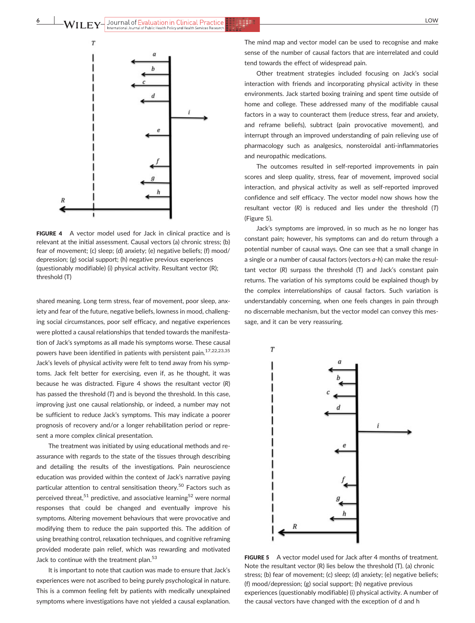

FIGURE 4 A vector model used for Jack in clinical practice and is relevant at the initial assessment. Causal vectors (a) chronic stress; (b) fear of movement; (c) sleep; (d) anxiety; (e) negative beliefs; (f) mood/ depression; (g) social support; (h) negative previous experiences (questionably modifiable) (i) physical activity. Resultant vector (R); threshold (T)

shared meaning. Long term stress, fear of movement, poor sleep, anxiety and fear of the future, negative beliefs, lowness in mood, challenging social circumstances, poor self efficacy, and negative experiences were plotted a causal relationships that tended towards the manifestation of Jack's symptoms as all made his symptoms worse. These causal powers have been identified in patients with persistent pain.<sup>17,22,23,35</sup> Jack's levels of physical activity were felt to tend away from his symptoms. Jack felt better for exercising, even if, as he thought, it was because he was distracted. Figure 4 shows the resultant vector (R) has passed the threshold (T) and is beyond the threshold. In this case, improving just one causal relationship, or indeed, a number may not be sufficient to reduce Jack's symptoms. This may indicate a poorer prognosis of recovery and/or a longer rehabilitation period or represent a more complex clinical presentation.

The treatment was initiated by using educational methods and re‐ assurance with regards to the state of the tissues through describing and detailing the results of the investigations. Pain neuroscience education was provided within the context of Jack's narrative paying particular attention to central sensitisation theory.<sup>50</sup> Factors such as perceived threat,<sup>51</sup> predictive, and associative learning<sup>52</sup> were normal responses that could be changed and eventually improve his symptoms. Altering movement behaviours that were provocative and modifying them to reduce the pain supported this. The addition of using breathing control, relaxation techniques, and cognitive reframing provided moderate pain relief, which was rewarding and motivated Jack to continue with the treatment plan.<sup>53</sup>

It is important to note that caution was made to ensure that Jack's experiences were not ascribed to being purely psychological in nature. This is a common feeling felt by patients with medically unexplained symptoms where investigations have not yielded a causal explanation. The mind map and vector model can be used to recognise and make sense of the number of causal factors that are interrelated and could tend towards the effect of widespread pain.

Other treatment strategies included focusing on Jack's social interaction with friends and incorporating physical activity in these environments. Jack started boxing training and spent time outside of home and college. These addressed many of the modifiable causal factors in a way to counteract them (reduce stress, fear and anxiety, and reframe beliefs), subtract (pain provocative movement), and interrupt through an improved understanding of pain relieving use of pharmacology such as analgesics, nonsteroidal anti‐inflammatories and neuropathic medications.

The outcomes resulted in self-reported improvements in pain scores and sleep quality, stress, fear of movement, improved social interaction, and physical activity as well as self‐reported improved confidence and self efficacy. The vector model now shows how the resultant vector (R) is reduced and lies under the threshold (T) (Figure 5).

Jack's symptoms are improved, in so much as he no longer has constant pain; however, his symptoms can and do return through a potential number of causal ways. One can see that a small change in a single or a number of causal factors (vectors a‐h) can make the resultant vector (R) surpass the threshold (T) and Jack's constant pain returns. The variation of his symptoms could be explained though by the complex interrelationships of causal factors. Such variation is understandably concerning, when one feels changes in pain through no discernable mechanism, but the vector model can convey this message, and it can be very reassuring.



FIGURE 5 A vector model used for Jack after 4 months of treatment. Note the resultant vector (R) lies below the threshold (T). (a) chronic stress; (b) fear of movement; (c) sleep; (d) anxiety; (e) negative beliefs; (f) mood/depression; (g) social support; (h) negative previous experiences (questionably modifiable) (i) physical activity. A number of the causal vectors have changed with the exception of d and h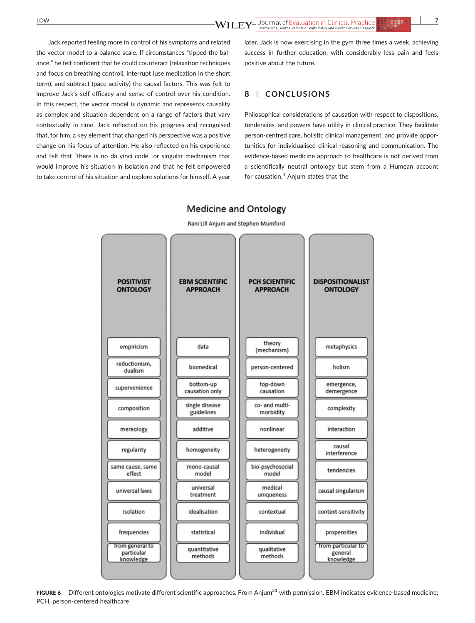Jack reported feeling more in control of his symptoms and related the vector model to a balance scale. If circumstances "tipped the balance," he felt confident that he could counteract (relaxation techniques and focus on breathing control), interrupt (use medication in the short term), and subtract (pace activity) the causal factors. This was felt to improve Jack's self efficacy and sense of control over his condition. In this respect, the vector model is dynamic and represents causality as complex and situation dependent on a range of factors that vary contextually in time. Jack reflected on his progress and recognised that, for him, a key element that changed his perspective was a positive change on his focus of attention. He also reflected on his experience and felt that "there is no da vinci code" or singular mechanism that would improve his situation in isolation and that he felt empowered to take control of his situation and explore solutions for himself. A year later, Jack is now exercising in the gym three times a week, achieving success in further education, with considerably less pain and feels positive about the future.

#### 8 | CONCLUSIONS

Philosophical considerations of causation with respect to dispositions, tendencies, and powers have utility in clinical practice. They facilitate person-centred care, holistic clinical management, and provide opportunities for individualised clinical reasoning and communication. The evidence‐based medicine approach to healthcare is not derived from a scientifically neutral ontology but stem from a Humean account for causation.<sup>4</sup> Anjum states that the

# Rani Lill Anjum and Stephen Mumford

**Medicine and Ontology** 



FIGURE 6 Different ontologies motivate different scientific approaches. From Anjum<sup>51</sup> with permission. EBM indicates evidence-based medicine; PCH, person‐centered healthcare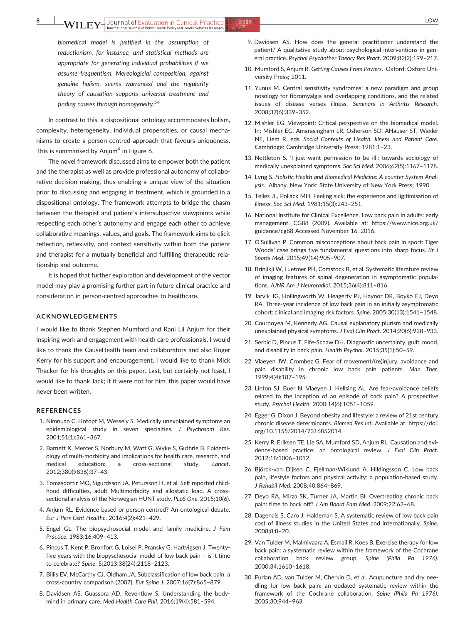biomedical model is justified in the assumption of reductionism, for instance, and statistical methods are appropriate for generating individual probabilities if we assume frequentism. Mereologicial composition, against genuine holism, seems warranted and the regularity theory of causation supports universal treatment and finding causes through homogeneity.<sup>54</sup>

In contrast to this, a dispositional ontology accommodates holism, complexity, heterogeneity, individual propensities, or causal mechanisms to create a person‐centred approach that favours uniqueness. This is summarised by Anjum<sup>4</sup> in Figure 6.

The novel framework discussed aims to empower both the patient and the therapist as well as provide professional autonomy of collaborative decision making, thus enabling a unique view of the situation prior to discussing and engaging in treatment, which is grounded in a dispositional ontology. The framework attempts to bridge the chasm between the therapist and patient's intersubjective viewpoints while respecting each other's autonomy and engage each other to achieve collaborative meanings, values, and goals. The framework aims to elicit reflection, reflexivity, and context sensitivity within both the patient and therapist for a mutually beneficial and fulfilling therapeutic relationship and outcome.

It is hoped that further exploration and development of the vector model may play a promising further part in future clinical practice and consideration in person‐centred approaches to healthcare.

#### ACKNOWLEDGEMENTS

I would like to thank Stephen Mumford and Rani Lil Anjum for their inspiring work and engagement with health care professionals. I would like to thank the CauseHealth team and collaborators and also Roger Kerry for his support and encouragement. I would like to thank Mick Thacker for his thoughts on this paper. Last, but certainly not least, I would like to thank Jack; if it were not for him, this paper would have never been written.

#### REFERENCES

- 1. Nimnuan C, Hotopf M, Wessely S. Medically unexplained symptoms an epidemiological study in seven specialties. J Psychosom Res. 2001;51(1):361–367.
- 2. Barnett K, Mercer S, Norbury M, Watt G, Wyke S, Guthrie B. Epidemiology of multi‐morbidity and implications for health care, research, and medical education: a cross-sectional study. Lancet. 2012;380(9836):37–43.
- 3. Tomasdottir MO, Sigurdsson JA, Petursson H, et al. Self reported childhood difficulties, adult Multimorbidity and allostatic load. A crosssectional analysis of the Norwegian HUNT study. PLoS One. 2015;10(6).
- 4. Anjum RL. Evidence based or person centred? An ontological debate. Eur J Pers Cent Healthc. 2016;4(2):421–429.
- 5. Engel GL. The biopsychosocial model and family medicine. J Fam Practice. 1983;16:409–413.
- 6. Pincus T, Kent P, Bronfort G, Loisel P, Pransky G, Hartvigsen J. Twenty‐ five years with the biopyschosocial model of low back pain – is it time to celebrate? Spine. 5;2013;38(24):2118–2123.
- 7. Billis EV, McCarthy CJ, Oldham JA. Subclassification of low back pain: a cross‐country comparison (2007). Eur Spine J. 2007;16(7):865–879.
- 8. Davidsen AS, Guassora AD, Reventlow S. Understanding the body‐ mind in primary care. Med Health Care Phil. 2016;19(4):581–594.
- 9. Davidsen AS. How does the general practitioner understand the patient? A qualitative study about psychological interventions in general practice. Psychol Psychother Theory Res Pract. 2009;82(2):199–217.
- 10. Mumford S, Anjum R. Getting Causes From Powers. Oxford: Oxford University Press; 2011.
- 11. Yunus M. Central sensitivity syndromes: a new paradigm and group nosology for fibromyalgia and overlapping conditions, and the related issues of disease verses illness. Seminars in Arthritis Research. 2008;37(6):339–352.
- 12. Mishler EG. Viewpoint: Critical perspective on the biomedical model. In: Mishler EG, Amarasingham LR, Osherson SD, AHauser ST, Waxler NE, Liem R, eds. Social Contexts of Health, Illness and Patient Care. Cambridge: Cambridge University Press; 1981:1–23.
- 13. Nettleton S. 'I just want permission to be ill': towards sociology of medically unexplained symptoms. Soc Sci Med. 2006;62(5):1167–1178.
- 14. Lyng S. Holistic Health and Biomedical Medicine: A counter System Analysis. Albany. New York: State University of New York Press; 1990.
- 15. Telles JL, Pollack MH. Feeling sick: the experience and ligitimisation of illness. Soc Sci Med. 1981;15(3):243–251.
- 16. National Institute for Clinical Excellence. Low back pain in adults: early management. CG88 (2009). Available at: [https://www.nice.org.uk/](https://www.nice.org.uk/guidance/cg88) [guidance/cg88](https://www.nice.org.uk/guidance/cg88) Accessed November 16, 2016.
- 17. O'Sullivan P. Common misconceptions about back pain in sport: Tiger Woods' case brings five fundamental questions into sharp focus. Br J Sports Med. 2015;49(14):905–907.
- 18. Brinjikji W, Luetmer PH, Comstock B, et al. Systematic literature review of imaging features of spinal degeneration in asymptomatic populations. AJNR Am J Neuroradiol. 2015;36(4):811–816.
- 19. Jarvik JG, Hollingworth W, Heagerty PJ, Haynor DR, Boyko EJ, Deyo RA. Three‐year incidence of low back pain in an initially asymptomatic cohort: clinical and imaging risk factors. Spine. 2005;30(13):1541–1548.
- 20. Cournoyea M, Kennedy AG. Causal explanatory plurism and medically unexplained physical symptoms. J Eval Clin Pract. 2014;20(6):928–933.
- 21. Serbic D, Pincus T, Fife‐Schaw DH. Diagnostic uncertainty, guilt, mood, and disability in back pain. Health Psychol. 2015;35(1):50–59.
- 22. Vlaeyen JW, Crombez G. Fear of movement/(re)injury, avoidance and pain disability in chronic low back pain patients. Man Ther. 1999;4(4):187–195.
- 23. Linton SJ, Buer N, Vlaeyen J, Hellsing AL. Are fear‐avoidance beliefs related to the inception of an episode of back pain? A prospective study. Psychol Health. 2000;14(6):1051–1059.
- 24. Egger G, Dixon J. Beyond obesity and lifestyle: a review of 21st century chronic disease determinants. Biomed Res Int. Available at: [https://doi.](https://doi.org/10.1155/2014/731685) [org/10.1155/2014/7316852](https://doi.org/10.1155/2014/731685)014
- 25. Kerry R, Eriksen TE, Lie SA, Mumford SD, Anjum RL. Causation and evidence-based practice: an ontological review. J Eval Clin Pract. 2012;18:1006–1012.
- 26. Björck‐van Dijken C, Fjellman‐Wiklund A, Hildingsson C. Low back pain, lifestyle factors and physical activity: a population‐based study. J Rehabil Med. 2008;40:864–869.
- 27. Deyo RA, Mirza SK, Turner JA, Martin BI. Overtreating chronic back pain: time to back off? J Am Board Fam Med. 2009;22:62–68.
- 28. Dagenais S, Caro J, Haldeman S. A systematic review of low back pain cost of illness studies in the United States and internationally. Spine. 2008;8:8–20.
- 29. Van Tulder M, Malmivaara A, Esmail R, Koes B. Exercise therapy for low back pain: a systematic review within the framework of the Cochrane collaboration back review group. Spine (Phila Pa 1976). 2000;34:1610–1618.
- 30. Furlan AD, van Tulder M, Cherkin D, et al. Acupuncture and dry needling for low back pain: an updated systematic review within the framework of the Cochrane collaboration. Spine (Phila Pa 1976). 2005;30:944–963.